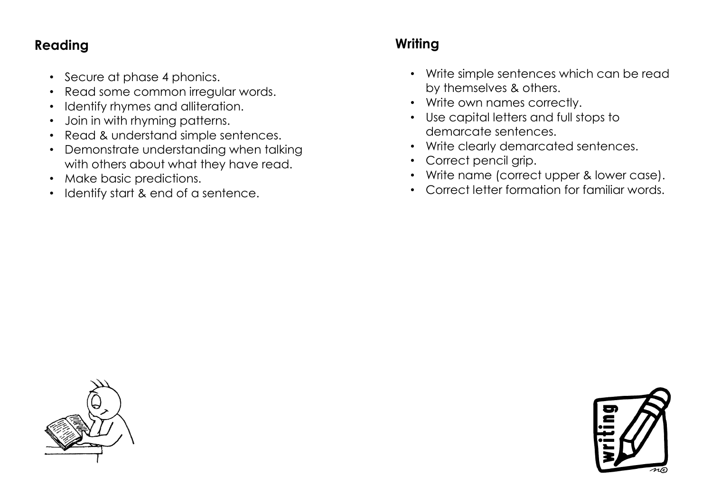#### **Reading**

- Secure at phase 4 phonics.
- Read some common irregular words.
- Identify rhymes and alliteration.
- Join in with rhyming patterns.
- Read & understand simple sentences.
- Demonstrate understanding when talking with others about what they have read.
- Make basic predictions.
- Identify start & end of a sentence.

## **Writing**

- Write simple sentences which can be read by themselves & others.
- Write own names correctly.
- Use capital letters and full stops to demarcate sentences.
- Write clearly demarcated sentences.
- Correct pencil grip.
- Write name (correct upper & lower case).
- Correct letter formation for familiar words.